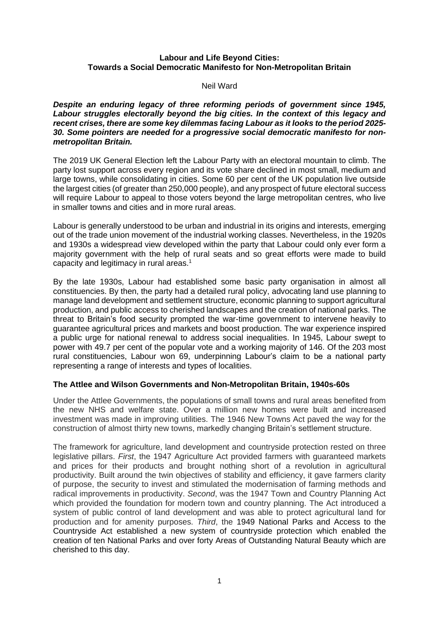# **Labour and Life Beyond Cities: Towards a Social Democratic Manifesto for Non-Metropolitan Britain**

#### Neil Ward

*Despite an enduring legacy of three reforming periods of government since 1945, Labour struggles electorally beyond the big cities. In the context of this legacy and recent crises, there are some key dilemmas facing Labour as it looks to the period 2025- 30. Some pointers are needed for a progressive social democratic manifesto for nonmetropolitan Britain.*

The 2019 UK General Election left the Labour Party with an electoral mountain to climb. The party lost support across every region and its vote share declined in most small, medium and large towns, while consolidating in cities. Some 60 per cent of the UK population live outside the largest cities (of greater than 250,000 people), and any prospect of future electoral success will require Labour to appeal to those voters beyond the large metropolitan centres, who live in smaller towns and cities and in more rural areas.

Labour is generally understood to be urban and industrial in its origins and interests, emerging out of the trade union movement of the industrial working classes. Nevertheless, in the 1920s and 1930s a widespread view developed within the party that Labour could only ever form a majority government with the help of rural seats and so great efforts were made to build capacity and legitimacy in rural areas. 1

By the late 1930s, Labour had established some basic party organisation in almost all constituencies. By then, the party had a detailed rural policy, advocating land use planning to manage land development and settlement structure, economic planning to support agricultural production, and public access to cherished landscapes and the creation of national parks. The threat to Britain's food security prompted the war-time government to intervene heavily to guarantee agricultural prices and markets and boost production. The war experience inspired a public urge for national renewal to address social inequalities. In 1945, Labour swept to power with 49.7 per cent of the popular vote and a working majority of 146. Of the 203 most rural constituencies, Labour won 69, underpinning Labour's claim to be a national party representing a range of interests and types of localities.

# **The Attlee and Wilson Governments and Non-Metropolitan Britain, 1940s-60s**

Under the Attlee Governments, the populations of small towns and rural areas benefited from the new NHS and welfare state. Over a million new homes were built and increased investment was made in improving utilities. The 1946 New Towns Act paved the way for the construction of almost thirty new towns, markedly changing Britain's settlement structure.

The framework for agriculture, land development and countryside protection rested on three legislative pillars. *First*, the 1947 Agriculture Act provided farmers with guaranteed markets and prices for their products and brought nothing short of a revolution in agricultural productivity. Built around the twin objectives of stability and efficiency, it gave farmers clarity of purpose, the security to invest and stimulated the modernisation of farming methods and radical improvements in productivity. *Second*, was the 1947 Town and Country Planning Act which provided the foundation for modern town and country planning. The Act introduced a system of public control of land development and was able to protect agricultural land for production and for amenity purposes. *Third*, the 1949 National Parks and Access to the Countryside Act established a new system of countryside protection which enabled the creation of ten National Parks and over forty Areas of Outstanding Natural Beauty which are cherished to this day.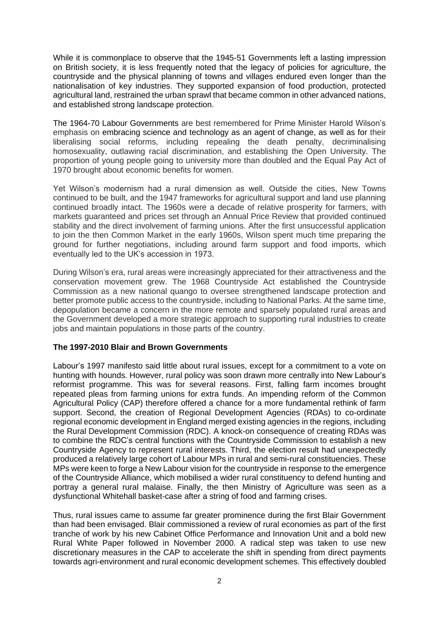While it is commonplace to observe that the 1945-51 Governments left a lasting impression on British society, it is less frequently noted that the legacy of policies for agriculture, the countryside and the physical planning of towns and villages endured even longer than the nationalisation of key industries. They supported expansion of food production, protected agricultural land, restrained the urban sprawl that became common in other advanced nations, and established strong landscape protection.

The 1964-70 Labour Governments are best remembered for Prime Minister Harold Wilson's emphasis on embracing science and technology as an agent of change, as well as for their liberalising social reforms, including repealing the death penalty, decriminalising homosexuality, outlawing racial discrimination, and establishing the Open University. The proportion of young people going to university more than doubled and the Equal Pay Act of 1970 brought about economic benefits for women.

Yet Wilson's modernism had a rural dimension as well. Outside the cities, New Towns continued to be built, and the 1947 frameworks for agricultural support and land use planning continued broadly intact. The 1960s were a decade of relative prosperity for farmers, with markets guaranteed and prices set through an Annual Price Review that provided continued stability and the direct involvement of farming unions. After the first unsuccessful application to join the then Common Market in the early 1960s, Wilson spent much time preparing the ground for further negotiations, including around farm support and food imports, which eventually led to the UK's accession in 1973.

During Wilson's era, rural areas were increasingly appreciated for their attractiveness and the conservation movement grew. The 1968 Countryside Act established the Countryside Commission as a new national quango to oversee strengthened landscape protection and better promote public access to the countryside, including to National Parks. At the same time, depopulation became a concern in the more remote and sparsely populated rural areas and the Government developed a more strategic approach to supporting rural industries to create jobs and maintain populations in those parts of the country.

# **The 1997-2010 Blair and Brown Governments**

Labour's 1997 manifesto said little about rural issues, except for a commitment to a vote on hunting with hounds. However, rural policy was soon drawn more centrally into New Labour's reformist programme. This was for several reasons. First, falling farm incomes brought repeated pleas from farming unions for extra funds. An impending reform of the Common Agricultural Policy (CAP) therefore offered a chance for a more fundamental rethink of farm support. Second, the creation of Regional Development Agencies (RDAs) to co-ordinate regional economic development in England merged existing agencies in the regions, including the Rural Development Commission (RDC). A knock-on consequence of creating RDAs was to combine the RDC's central functions with the Countryside Commission to establish a new Countryside Agency to represent rural interests. Third, the election result had unexpectedly produced a relatively large cohort of Labour MPs in rural and semi-rural constituencies. These MPs were keen to forge a New Labour vision for the countryside in response to the emergence of the Countryside Alliance, which mobilised a wider rural constituency to defend hunting and portray a general rural malaise. Finally, the then Ministry of Agriculture was seen as a dysfunctional Whitehall basket-case after a string of food and farming crises.

Thus, rural issues came to assume far greater prominence during the first Blair Government than had been envisaged. Blair commissioned a review of rural economies as part of the first tranche of work by his new Cabinet Office Performance and Innovation Unit and a bold new Rural White Paper followed in November 2000. A radical step was taken to use new discretionary measures in the CAP to accelerate the shift in spending from direct payments towards agri-environment and rural economic development schemes. This effectively doubled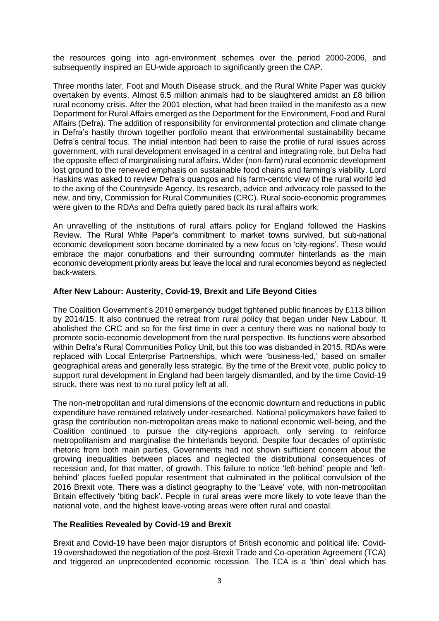the resources going into agri-environment schemes over the period 2000-2006, and subsequently inspired an EU-wide approach to significantly green the CAP.

Three months later, Foot and Mouth Disease struck, and the Rural White Paper was quickly overtaken by events. Almost 6.5 million animals had to be slaughtered amidst an £8 billion rural economy crisis. After the 2001 election, what had been trailed in the manifesto as a new Department for Rural Affairs emerged as the Department for the Environment, Food and Rural Affairs (Defra). The addition of responsibility for environmental protection and climate change in Defra's hastily thrown together portfolio meant that environmental sustainability became Defra's central focus. The initial intention had been to raise the profile of rural issues across government, with rural development envisaged in a central and integrating role, but Defra had the opposite effect of marginalising rural affairs. Wider (non-farm) rural economic development lost ground to the renewed emphasis on sustainable food chains and farming's viability. Lord Haskins was asked to review Defra's quangos and his farm-centric view of the rural world led to the axing of the Countryside Agency. Its research, advice and advocacy role passed to the new, and tiny, Commission for Rural Communities (CRC). Rural socio-economic programmes were given to the RDAs and Defra quietly pared back its rural affairs work.

An unravelling of the institutions of rural affairs policy for England followed the Haskins Review. The Rural White Paper's commitment to market towns survived, but sub-national economic development soon became dominated by a new focus on 'city-regions'. These would embrace the major conurbations and their surrounding commuter hinterlands as the main economic development priority areas but leave the local and rural economies beyond as neglected back-waters.

# **After New Labour: Austerity, Covid-19, Brexit and Life Beyond Cities**

The Coalition Government's 2010 emergency budget tightened public finances by £113 billion by 2014/15. It also continued the retreat from rural policy that began under New Labour. It abolished the CRC and so for the first time in over a century there was no national body to promote socio-economic development from the rural perspective. Its functions were absorbed within Defra's Rural Communities Policy Unit, but this too was disbanded in 2015. RDAs were replaced with Local Enterprise Partnerships, which were 'business-led,' based on smaller geographical areas and generally less strategic. By the time of the Brexit vote, public policy to support rural development in England had been largely dismantled, and by the time Covid-19 struck, there was next to no rural policy left at all.

The non-metropolitan and rural dimensions of the economic downturn and reductions in public expenditure have remained relatively under-researched. National policymakers have failed to grasp the contribution non-metropolitan areas make to national economic well-being, and the Coalition continued to pursue the city-regions approach, only serving to reinforce metropolitanism and marginalise the hinterlands beyond. Despite four decades of optimistic rhetoric from both main parties, Governments had not shown sufficient concern about the growing inequalities between places and neglected the distributional consequences of recession and, for that matter, of growth. This failure to notice 'left-behind' people and 'leftbehind' places fuelled popular resentment that culminated in the political convulsion of the 2016 Brexit vote. There was a distinct geography to the 'Leave' vote, with non-metropolitan Britain effectively 'biting back'. People in rural areas were more likely to vote leave than the national vote, and the highest leave-voting areas were often rural and coastal.

#### **The Realities Revealed by Covid-19 and Brexit**

Brexit and Covid-19 have been major disruptors of British economic and political life. Covid-19 overshadowed the negotiation of the post-Brexit Trade and Co-operation Agreement (TCA) and triggered an unprecedented economic recession. The TCA is a 'thin' deal which has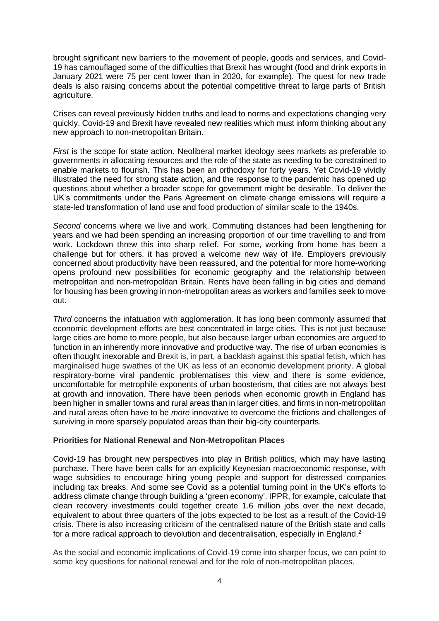brought significant new barriers to the movement of people, goods and services, and Covid-19 has camouflaged some of the difficulties that Brexit has wrought (food and drink exports in January 2021 were 75 per cent lower than in 2020, for example). The quest for new trade deals is also raising concerns about the potential competitive threat to large parts of British agriculture.

Crises can reveal previously hidden truths and lead to norms and expectations changing very quickly. Covid-19 and Brexit have revealed new realities which must inform thinking about any new approach to non-metropolitan Britain.

*First* is the scope for state action. Neoliberal market ideology sees markets as preferable to governments in allocating resources and the role of the state as needing to be constrained to enable markets to flourish. This has been an orthodoxy for forty years. Yet Covid-19 vividly illustrated the need for strong state action, and the response to the pandemic has opened up questions about whether a broader scope for government might be desirable. To deliver the UK's commitments under the Paris Agreement on climate change emissions will require a state-led transformation of land use and food production of similar scale to the 1940s.

*Second* concerns where we live and work. Commuting distances had been lengthening for years and we had been spending an increasing proportion of our time travelling to and from work. Lockdown threw this into sharp relief. For some, working from home has been a challenge but for others, it has proved a welcome new way of life. Employers previously concerned about productivity have been reassured, and the potential for more home-working opens profound new possibilities for economic geography and the relationship between metropolitan and non-metropolitan Britain. Rents have been falling in big cities and demand for housing has been growing in non-metropolitan areas as workers and families seek to move out.

*Third* concerns the infatuation with agglomeration. It has long been commonly assumed that economic development efforts are best concentrated in large cities. This is not just because large cities are home to more people, but also because larger urban economies are argued to function in an inherently more innovative and productive way. The rise of urban economies is often thought inexorable and Brexit is, in part, a backlash against this spatial fetish, which has marginalised huge swathes of the UK as less of an economic development priority. A global respiratory-borne viral pandemic problematises this view and there is some evidence, uncomfortable for metrophile exponents of urban boosterism, that cities are not always best at growth and innovation. There have been periods when economic growth in England has been higher in smaller towns and rural areas than in larger cities, and firms in non-metropolitan and rural areas often have to be *more* innovative to overcome the frictions and challenges of surviving in more sparsely populated areas than their big-city counterparts.

#### **Priorities for National Renewal and Non-Metropolitan Places**

Covid-19 has brought new perspectives into play in British politics, which may have lasting purchase. There have been calls for an explicitly Keynesian macroeconomic response, with wage subsidies to encourage hiring young people and support for distressed companies including tax breaks. And some see Covid as a potential turning point in the UK's efforts to address climate change through building a 'green economy'. IPPR, for example, calculate that clean recovery investments could together create 1.6 million jobs over the next decade, equivalent to about three quarters of the jobs expected to be lost as a result of the Covid-19 crisis. There is also increasing criticism of the centralised nature of the British state and calls for a more radical approach to devolution and decentralisation, especially in England.<sup>2</sup>

As the social and economic implications of Covid-19 come into sharper focus, we can point to some key questions for national renewal and for the role of non-metropolitan places.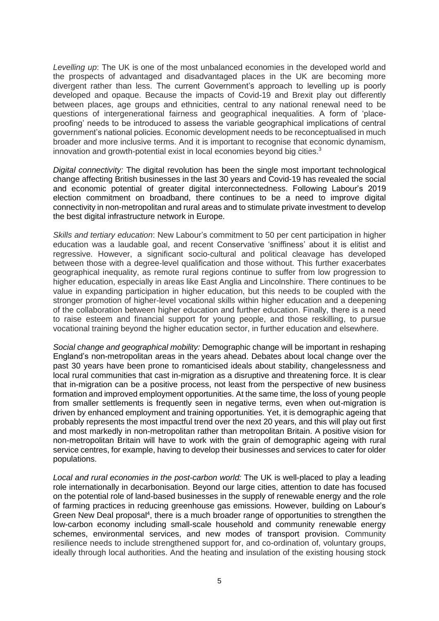*Levelling up*: The UK is one of the most unbalanced economies in the developed world and the prospects of advantaged and disadvantaged places in the UK are becoming more divergent rather than less. The current Government's approach to levelling up is poorly developed and opaque. Because the impacts of Covid-19 and Brexit play out differently between places, age groups and ethnicities, central to any national renewal need to be questions of intergenerational fairness and geographical inequalities. A form of 'placeproofing' needs to be introduced to assess the variable geographical implications of central government's national policies. Economic development needs to be reconceptualised in much broader and more inclusive terms. And it is important to recognise that economic dynamism, innovation and growth-potential exist in local economies beyond big cities.<sup>3</sup>

*Digital connectivity:* The digital revolution has been the single most important technological change affecting British businesses in the last 30 years and Covid-19 has revealed the social and economic potential of greater digital interconnectedness. Following Labour's 2019 election commitment on broadband, there continues to be a need to improve digital connectivity in non-metropolitan and rural areas and to stimulate private investment to develop the best digital infrastructure network in Europe.

*Skills and tertiary education*: New Labour's commitment to 50 per cent participation in higher education was a laudable goal, and recent Conservative 'sniffiness' about it is elitist and regressive. However, a significant socio-cultural and political cleavage has developed between those with a degree-level qualification and those without. This further exacerbates geographical inequality, as remote rural regions continue to suffer from low progression to higher education, especially in areas like East Anglia and Lincolnshire. There continues to be value in expanding participation in higher education, but this needs to be coupled with the stronger promotion of higher-level vocational skills within higher education and a deepening of the collaboration between higher education and further education. Finally, there is a need to raise esteem and financial support for young people, and those reskilling, to pursue vocational training beyond the higher education sector, in further education and elsewhere.

*Social change and geographical mobility:* Demographic change will be important in reshaping England's non-metropolitan areas in the years ahead. Debates about local change over the past 30 years have been prone to romanticised ideals about stability, changelessness and local rural communities that cast in-migration as a disruptive and threatening force. It is clear that in-migration can be a positive process, not least from the perspective of new business formation and improved employment opportunities. At the same time, the loss of young people from smaller settlements is frequently seen in negative terms, even when out-migration is driven by enhanced employment and training opportunities. Yet, it is demographic ageing that probably represents the most impactful trend over the next 20 years, and this will play out first and most markedly in non-metropolitan rather than metropolitan Britain. A positive vision for non-metropolitan Britain will have to work with the grain of demographic ageing with rural service centres, for example, having to develop their businesses and services to cater for older populations.

*Local and rural economies in the post-carbon world:* The UK is well-placed to play a leading role internationally in decarbonisation. Beyond our large cities, attention to date has focused on the potential role of land-based businesses in the supply of renewable energy and the role of farming practices in reducing greenhouse gas emissions. However, building on Labour's Green New Deal proposal<sup>4</sup>, there is a much broader range of opportunities to strengthen the low-carbon economy including small-scale household and community renewable energy schemes, environmental services, and new modes of transport provision. Community resilience needs to include strengthened support for, and co-ordination of, voluntary groups, ideally through local authorities. And the heating and insulation of the existing housing stock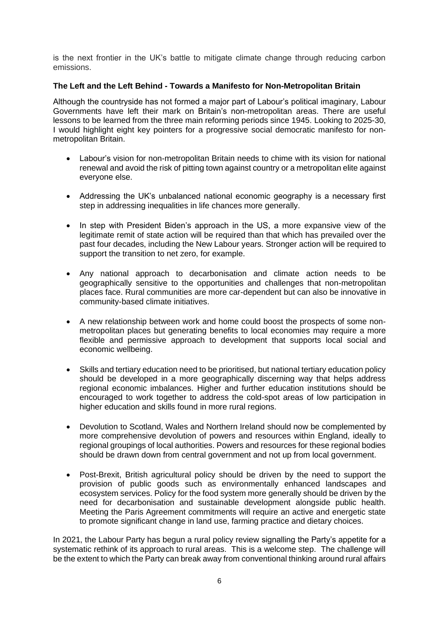is the next frontier in the UK's battle to mitigate climate change through reducing carbon emissions.

#### **The Left and the Left Behind - Towards a Manifesto for Non-Metropolitan Britain**

Although the countryside has not formed a major part of Labour's political imaginary, Labour Governments have left their mark on Britain's non-metropolitan areas. There are useful lessons to be learned from the three main reforming periods since 1945. Looking to 2025-30, I would highlight eight key pointers for a progressive social democratic manifesto for nonmetropolitan Britain.

- Labour's vision for non-metropolitan Britain needs to chime with its vision for national renewal and avoid the risk of pitting town against country or a metropolitan elite against everyone else.
- Addressing the UK's unbalanced national economic geography is a necessary first step in addressing inequalities in life chances more generally.
- In step with President Biden's approach in the US, a more expansive view of the legitimate remit of state action will be required than that which has prevailed over the past four decades, including the New Labour years. Stronger action will be required to support the transition to net zero, for example.
- Any national approach to decarbonisation and climate action needs to be geographically sensitive to the opportunities and challenges that non-metropolitan places face. Rural communities are more car-dependent but can also be innovative in community-based climate initiatives.
- A new relationship between work and home could boost the prospects of some nonmetropolitan places but generating benefits to local economies may require a more flexible and permissive approach to development that supports local social and economic wellbeing.
- Skills and tertiary education need to be prioritised, but national tertiary education policy should be developed in a more geographically discerning way that helps address regional economic imbalances. Higher and further education institutions should be encouraged to work together to address the cold-spot areas of low participation in higher education and skills found in more rural regions.
- Devolution to Scotland, Wales and Northern Ireland should now be complemented by more comprehensive devolution of powers and resources within England, ideally to regional groupings of local authorities. Powers and resources for these regional bodies should be drawn down from central government and not up from local government.
- Post-Brexit, British agricultural policy should be driven by the need to support the provision of public goods such as environmentally enhanced landscapes and ecosystem services. Policy for the food system more generally should be driven by the need for decarbonisation and sustainable development alongside public health. Meeting the Paris Agreement commitments will require an active and energetic state to promote significant change in land use, farming practice and dietary choices.

In 2021, the Labour Party has begun a rural policy review signalling the Party's appetite for a systematic rethink of its approach to rural areas. This is a welcome step. The challenge will be the extent to which the Party can break away from conventional thinking around rural affairs